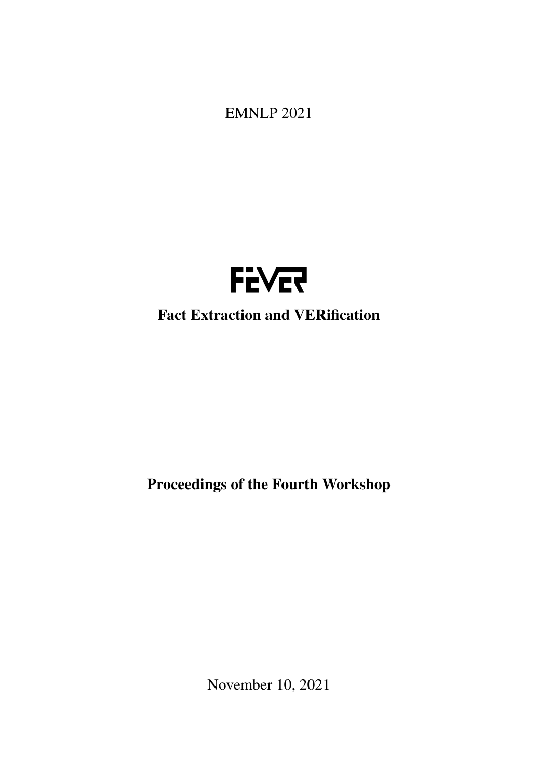<span id="page-0-0"></span>EMNLP 2021



# Fact Extraction and VERification

Proceedings of the Fourth Workshop

November 10, 2021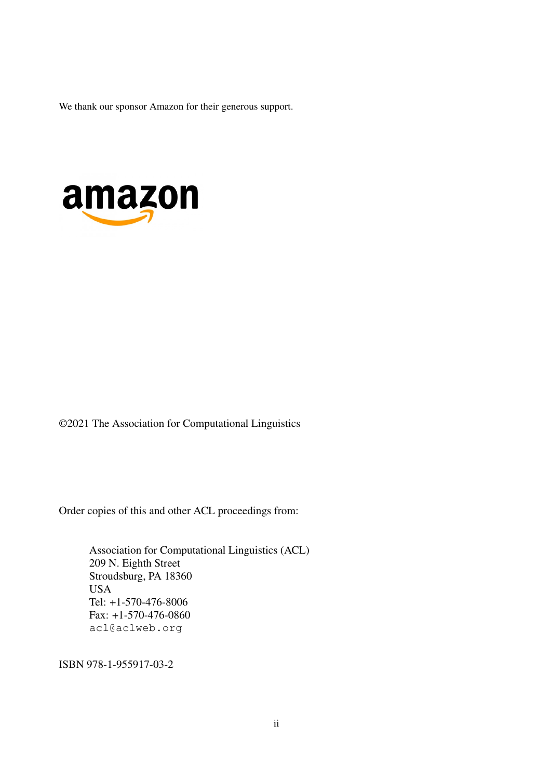We thank our sponsor Amazon for their generous support.



©2021 The Association for Computational Linguistics

Order copies of this and other ACL proceedings from:

Association for Computational Linguistics (ACL) 209 N. Eighth Street Stroudsburg, PA 18360 USA Tel: +1-570-476-8006 Fax: +1-570-476-0860 acl@aclweb.org

ISBN 978-1-955917-03-2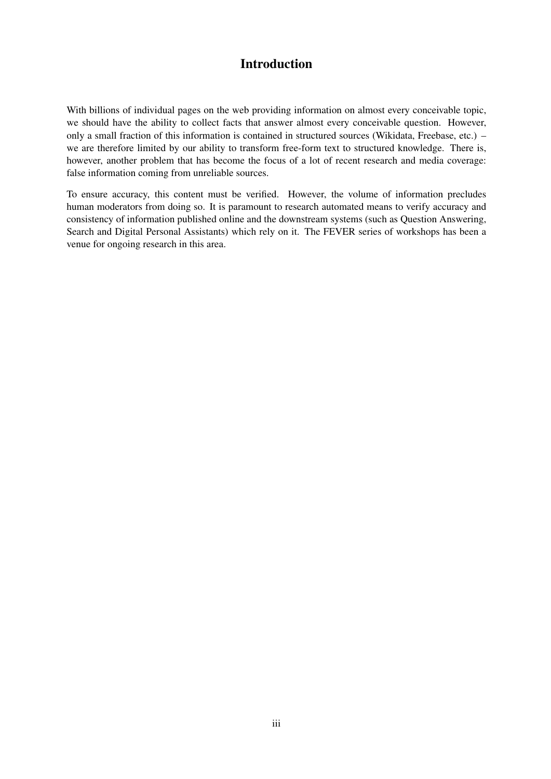## Introduction

With billions of individual pages on the web providing information on almost every conceivable topic, we should have the ability to collect facts that answer almost every conceivable question. However, only a small fraction of this information is contained in structured sources (Wikidata, Freebase, etc.) – we are therefore limited by our ability to transform free-form text to structured knowledge. There is, however, another problem that has become the focus of a lot of recent research and media coverage: false information coming from unreliable sources.

To ensure accuracy, this content must be verified. However, the volume of information precludes human moderators from doing so. It is paramount to research automated means to verify accuracy and consistency of information published online and the downstream systems (such as Question Answering, Search and Digital Personal Assistants) which rely on it. The FEVER series of workshops has been a venue for ongoing research in this area.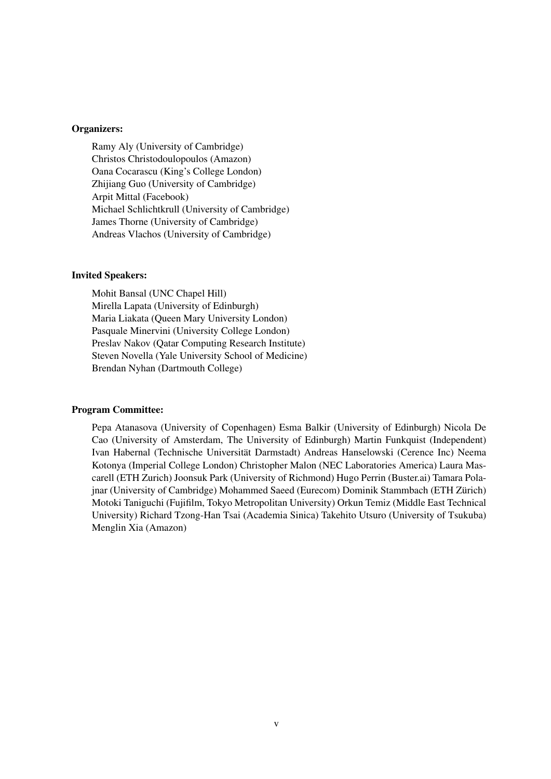#### Organizers:

Ramy Aly (University of Cambridge) Christos Christodoulopoulos (Amazon) Oana Cocarascu (King's College London) Zhijiang Guo (University of Cambridge) Arpit Mittal (Facebook) Michael Schlichtkrull (University of Cambridge) James Thorne (University of Cambridge) Andreas Vlachos (University of Cambridge)

#### Invited Speakers:

Mohit Bansal (UNC Chapel Hill) Mirella Lapata (University of Edinburgh) Maria Liakata (Queen Mary University London) Pasquale Minervini (University College London) Preslav Nakov (Qatar Computing Research Institute) Steven Novella (Yale University School of Medicine) Brendan Nyhan (Dartmouth College)

#### Program Committee:

Pepa Atanasova (University of Copenhagen) Esma Balkir (University of Edinburgh) Nicola De Cao (University of Amsterdam, The University of Edinburgh) Martin Funkquist (Independent) Ivan Habernal (Technische Universität Darmstadt) Andreas Hanselowski (Cerence Inc) Neema Kotonya (Imperial College London) Christopher Malon (NEC Laboratories America) Laura Mascarell (ETH Zurich) Joonsuk Park (University of Richmond) Hugo Perrin (Buster.ai) Tamara Polajnar (University of Cambridge) Mohammed Saeed (Eurecom) Dominik Stammbach (ETH Zürich) Motoki Taniguchi (Fujifilm, Tokyo Metropolitan University) Orkun Temiz (Middle East Technical University) Richard Tzong-Han Tsai (Academia Sinica) Takehito Utsuro (University of Tsukuba) Menglin Xia (Amazon)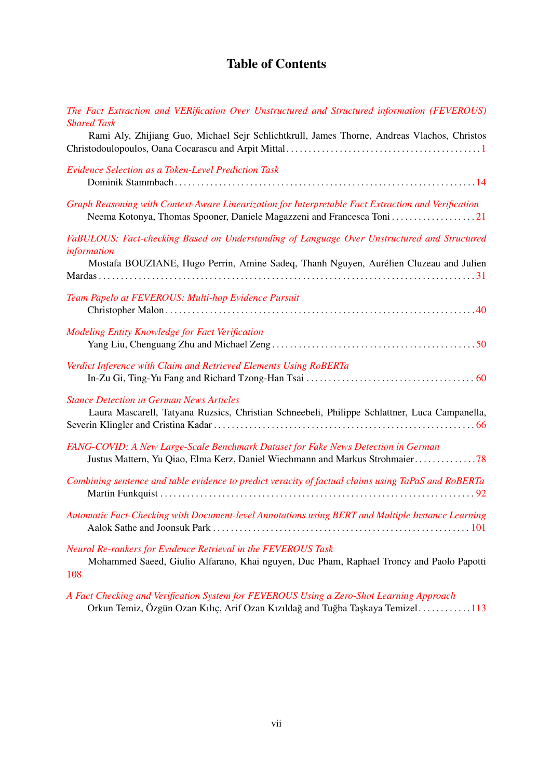# Table of Contents

| The Fact Extraction and VERification Over Unstructured and Structured information (FEVEROUS)<br><b>Shared Task</b>                                                |
|-------------------------------------------------------------------------------------------------------------------------------------------------------------------|
| Rami Aly, Zhijiang Guo, Michael Sejr Schlichtkrull, James Thorne, Andreas Vlachos, Christos                                                                       |
| <b>Evidence Selection as a Token-Level Prediction Task</b>                                                                                                        |
| Graph Reasoning with Context-Aware Linearization for Interpretable Fact Extraction and Verification                                                               |
| FaBULOUS: Fact-checking Based on Understanding of Language Over Unstructured and Structured<br>information                                                        |
| Mostafa BOUZIANE, Hugo Perrin, Amine Sadeq, Thanh Nguyen, Aurélien Cluzeau and Julien                                                                             |
| Team Papelo at FEVEROUS: Multi-hop Evidence Pursuit                                                                                                               |
| Modeling Entity Knowledge for Fact Verification                                                                                                                   |
| Verdict Inference with Claim and Retrieved Elements Using RoBERTa                                                                                                 |
| <b>Stance Detection in German News Articles</b><br>Laura Mascarell, Tatyana Ruzsics, Christian Schneebeli, Philippe Schlattner, Luca Campanella,                  |
| FANG-COVID: A New Large-Scale Benchmark Dataset for Fake News Detection in German<br>Justus Mattern, Yu Qiao, Elma Kerz, Daniel Wiechmann and Markus Strohmaier78 |
| Combining sentence and table evidence to predict veracity of factual claims using TaPaS and RoBERTa                                                               |
| Automatic Fact-Checking with Document-level Annotations using BERT and Multiple Instance Learning                                                                 |
| Neural Re-rankers for Evidence Retrieval in the FEVEROUS Task<br>Mohammed Saeed, Giulio Alfarano, Khai nguyen, Duc Pham, Raphael Troncy and Paolo Papotti<br>108  |

*[A Fact Checking and Verification System for FEVEROUS Using a Zero-Shot Learning Approach](#page-0-0)* Orkun Temiz, Özgün Ozan Kılıç, Arif Ozan Kızıldağ and Tuğba Taşkaya Temizel.............[113](#page-0-0)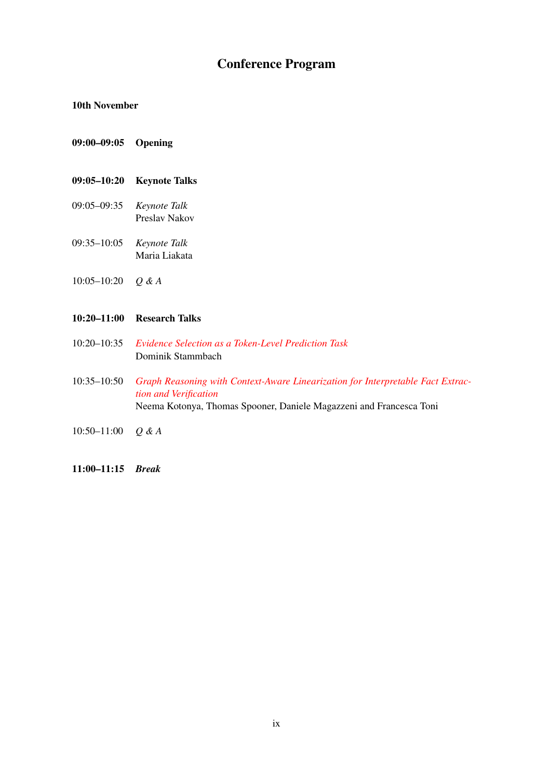# Conference Program

#### 10th November

- 09:00–09:05 Opening
- 09:05–10:20 Keynote Talks
- 09:05–09:35 *Keynote Talk* Preslav Nakov
- 09:35–10:05 *Keynote Talk* Maria Liakata
- 10:05–10:20 *Q & A*

#### 10:20–11:00 Research Talks

- 10:20–10:35 *[Evidence Selection as a Token-Level Prediction Task](#page-0-0)* Dominik Stammbach
- 10:35–10:50 *[Graph Reasoning with Context-Aware Linearization for Interpretable Fact Extrac](#page-0-0)[tion and Verification](#page-0-0)* Neema Kotonya, Thomas Spooner, Daniele Magazzeni and Francesca Toni
- 10:50–11:00 *Q & A*
- 11:00–11:15 *Break*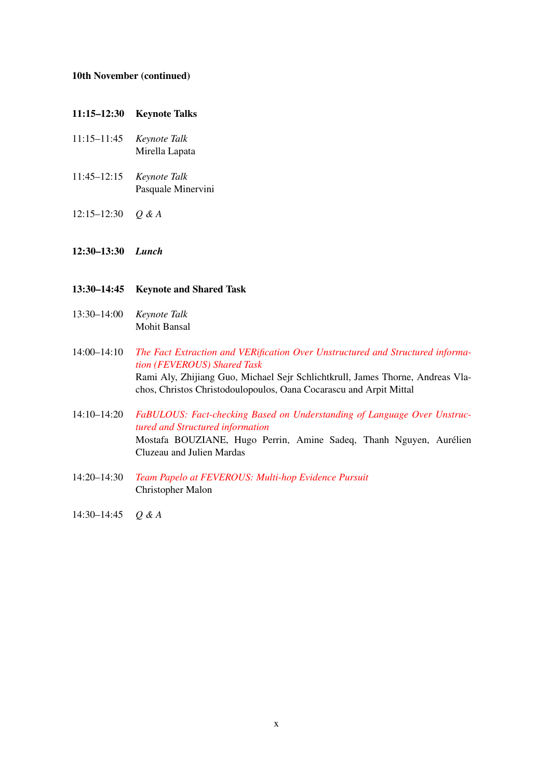#### 10th November (continued)

#### 11:15–12:30 Keynote Talks

- 11:15–11:45 *Keynote Talk* Mirella Lapata
- 11:45–12:15 *Keynote Talk* Pasquale Minervini
- 12:15–12:30 *Q & A*
- 12:30–13:30 *Lunch*
- 13:30–14:45 Keynote and Shared Task
- 13:30–14:00 *Keynote Talk* Mohit Bansal
- 14:00–14:10 *[The Fact Extraction and VERification Over Unstructured and Structured informa](#page-0-0)[tion \(FEVEROUS\) Shared Task](#page-0-0)* Rami Aly, Zhijiang Guo, Michael Sejr Schlichtkrull, James Thorne, Andreas Vlachos, Christos Christodoulopoulos, Oana Cocarascu and Arpit Mittal
- 14:10–14:20 *[FaBULOUS: Fact-checking Based on Understanding of Language Over Unstruc](#page-0-0)[tured and Structured information](#page-0-0)* Mostafa BOUZIANE, Hugo Perrin, Amine Sadeq, Thanh Nguyen, Aurélien Cluzeau and Julien Mardas
- 14:20–14:30 *[Team Papelo at FEVEROUS: Multi-hop Evidence Pursuit](#page-0-0)* Christopher Malon
- 14:30–14:45 *Q & A*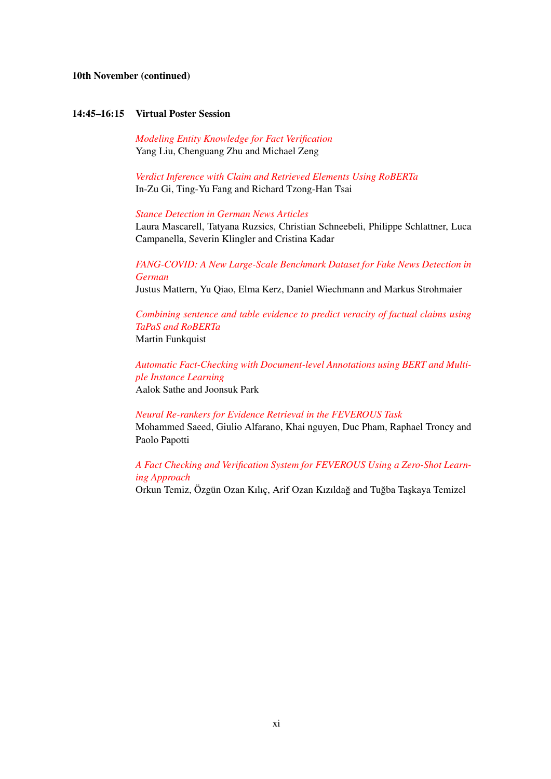#### 10th November (continued)

#### 14:45–16:15 Virtual Poster Session

*[Modeling Entity Knowledge for Fact Verification](#page-0-0)* Yang Liu, Chenguang Zhu and Michael Zeng

*[Verdict Inference with Claim and Retrieved Elements Using RoBERTa](#page-0-0)* In-Zu Gi, Ting-Yu Fang and Richard Tzong-Han Tsai

#### *[Stance Detection in German News Articles](#page-0-0)*

Laura Mascarell, Tatyana Ruzsics, Christian Schneebeli, Philippe Schlattner, Luca Campanella, Severin Klingler and Cristina Kadar

*[FANG-COVID: A New Large-Scale Benchmark Dataset for Fake News Detection in](#page-0-0) [German](#page-0-0)*

Justus Mattern, Yu Qiao, Elma Kerz, Daniel Wiechmann and Markus Strohmaier

*[Combining sentence and table evidence to predict veracity of factual claims using](#page-0-0) [TaPaS and RoBERTa](#page-0-0)* Martin Funkquist

*[Automatic Fact-Checking with Document-level Annotations using BERT and Multi](#page-0-0)[ple Instance Learning](#page-0-0)* Aalok Sathe and Joonsuk Park

*[Neural Re-rankers for Evidence Retrieval in the FEVEROUS Task](#page-0-0)*

Mohammed Saeed, Giulio Alfarano, Khai nguyen, Duc Pham, Raphael Troncy and Paolo Papotti

### *[A Fact Checking and Verification System for FEVEROUS Using a Zero-Shot Learn](#page-0-0)[ing Approach](#page-0-0)*

Orkun Temiz, Özgün Ozan Kılıç, Arif Ozan Kızıldağ and Tuğba Taşkaya Temizel